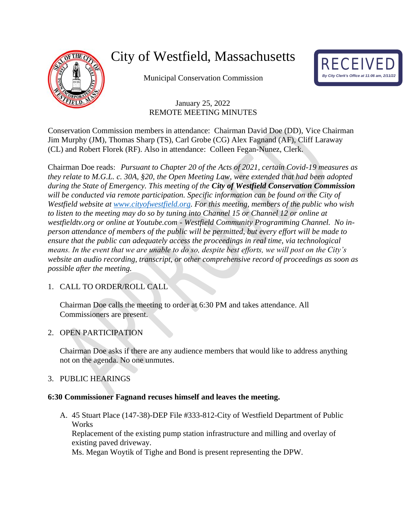

# City of Westfield, Massachusetts

Municipal Conservation Commission



# January 25, 2022 REMOTE MEETING MINUTES

Conservation Commission members in attendance: Chairman David Doe (DD), Vice Chairman Jim Murphy (JM), Thomas Sharp (TS), Carl Grobe (CG) Alex Fagnand (AF), Cliff Laraway (CL) and Robert Florek (RF). Also in attendance: Colleen Fegan-Nunez, Clerk.

Chairman Doe reads: *Pursuant to Chapter 20 of the Acts of 2021, certain Covid-19 measures as they relate to M.G.L. c. 30A, §20, the Open Meeting Law, were extended that had been adopted during the State of Emergency. This meeting of the City of Westfield Conservation Commission will be conducted via remote participation. Specific information can be found on the City of Westfield website at [www.cityofwestfield.org.](http://www.cityofwestfield.org/) For this meeting, members of the public who wish to listen to the meeting may do so by tuning into Channel 15 or Channel 12 or online at westfieldtv.org or online at Youtube.com - Westfield Community Programming Channel. No inperson attendance of members of the public will be permitted, but every effort will be made to ensure that the public can adequately access the proceedings in real time, via technological means. In the event that we are unable to do so, despite best efforts, we will post on the City's website an audio recording, transcript, or other comprehensive record of proceedings as soon as possible after the meeting.*

# 1. CALL TO ORDER/ROLL CALL

Chairman Doe calls the meeting to order at 6:30 PM and takes attendance. All Commissioners are present.

## 2. OPEN PARTICIPATION

Chairman Doe asks if there are any audience members that would like to address anything not on the agenda. No one unmutes.

## 3. PUBLIC HEARINGS

## **6:30 Commissioner Fagnand recuses himself and leaves the meeting.**

A. 45 Stuart Place (147-38)-DEP File #333-812-City of Westfield Department of Public **Works** Replacement of the existing pump station infrastructure and milling and overlay of existing paved driveway. Ms. Megan Woytik of Tighe and Bond is present representing the DPW.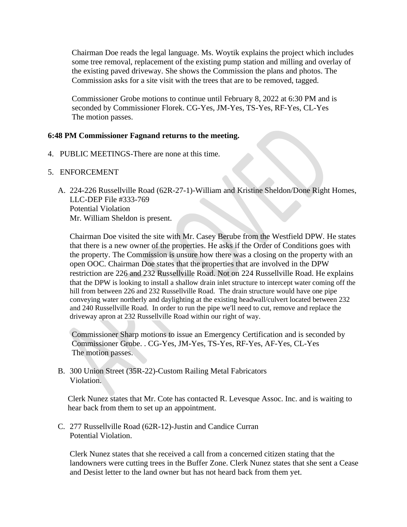Chairman Doe reads the legal language. Ms. Woytik explains the project which includes some tree removal, replacement of the existing pump station and milling and overlay of the existing paved driveway. She shows the Commission the plans and photos. The Commission asks for a site visit with the trees that are to be removed, tagged.

Commissioner Grobe motions to continue until February 8, 2022 at 6:30 PM and is seconded by Commissioner Florek. CG-Yes, JM-Yes, TS-Yes, RF-Yes, CL-Yes The motion passes.

#### **6:48 PM Commissioner Fagnand returns to the meeting.**

- 4. PUBLIC MEETINGS-There are none at this time.
- 5. ENFORCEMENT
	- A. 224-226 Russellville Road (62R-27-1)-William and Kristine Sheldon/Done Right Homes, LLC-DEP File #333-769 Potential Violation Mr. William Sheldon is present.

Chairman Doe visited the site with Mr. Casey Berube from the Westfield DPW. He states that there is a new owner of the properties. He asks if the Order of Conditions goes with the property. The Commission is unsure how there was a closing on the property with an open OOC. Chairman Doe states that the properties that are involved in the DPW restriction are 226 and 232 Russellville Road. Not on 224 Russellville Road. He explains that the DPW is looking to install a shallow drain inlet structure to intercept water coming off the hill from between 226 and 232 Russellville Road. The drain structure would have one pipe conveying water northerly and daylighting at the existing headwall/culvert located between 232 and 240 Russellville Road. In order to run the pipe we'll need to cut, remove and replace the driveway apron at 232 Russellville Road within our right of way.

Commissioner Sharp motions to issue an Emergency Certification and is seconded by Commissioner Grobe. . CG-Yes, JM-Yes, TS-Yes, RF-Yes, AF-Yes, CL-Yes The motion passes.

B. 300 Union Street (35R-22)-Custom Railing Metal Fabricators Violation.

Clerk Nunez states that Mr. Cote has contacted R. Levesque Assoc. Inc. and is waiting to hear back from them to set up an appointment.

C. 277 Russellville Road (62R-12)-Justin and Candice Curran Potential Violation.

Clerk Nunez states that she received a call from a concerned citizen stating that the landowners were cutting trees in the Buffer Zone. Clerk Nunez states that she sent a Cease and Desist letter to the land owner but has not heard back from them yet.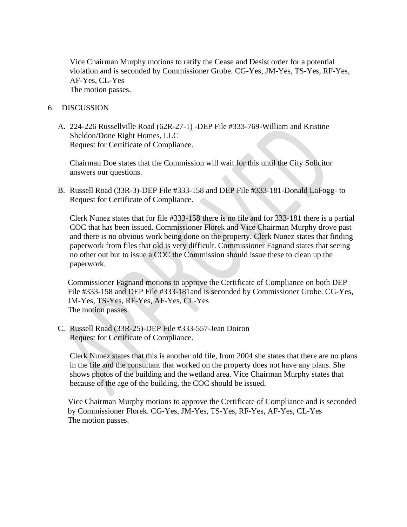Vice Chairman Murphy motions to ratify the Cease and Desist order for a potential violation and is seconded by Commissioner Grobe. CG-Yes, JM-Yes, TS-Yes, RF-Yes, AF-Yes, CL-Yes The motion passes.

#### 6. DISCUSSION

A. 224-226 Russellville Road (62R-27-1) -DEP File #333-769-William and Kristine Sheldon/Done Right Homes, LLC Request for Certificate of Compliance.

Chairman Doe states that the Commission will wait for this until the City Solicitor answers our questions.

B. Russell Road (33R-3)-DEP File #333-158 and DEP File #333-181-Donald LaFogg- to Request for Certificate of Compliance.

Clerk Nunez states that for file #333-158 there is no file and for 333-181 there is a partial COC that has been issued. Commissioner Florek and Vice Chairman Murphy drove past and there is no obvious work being done on the property. Clerk Nunez states that finding paperwork from files that old is very difficult. Commissioner Fagnand states that seeing no other out but to issue a COC the Commission should issue these to clean up the paperwork.

Commissioner Fagnand motions to approve the Certificate of Compliance on both DEP File #333-158 and DEP File #333-181and is seconded by Commissioner Grobe. CG-Yes, JM-Yes, TS-Yes, RF-Yes, AF-Yes, CL-Yes The motion passes.

C. Russell Road (33R-25)-DEP File #333-557-Jean Doiron Request for Certificate of Compliance.

Clerk Nunez states that this is another old file, from 2004 she states that there are no plans in the file and the consultant that worked on the property does not have any plans. She shows photos of the building and the wetland area. Vice Chairman Murphy states that because of the age of the building, the COC should be issued.

Vice Chairman Murphy motions to approve the Certificate of Compliance and is seconded by Commissioner Florek. CG-Yes, JM-Yes, TS-Yes, RF-Yes, AF-Yes, CL-Yes The motion passes.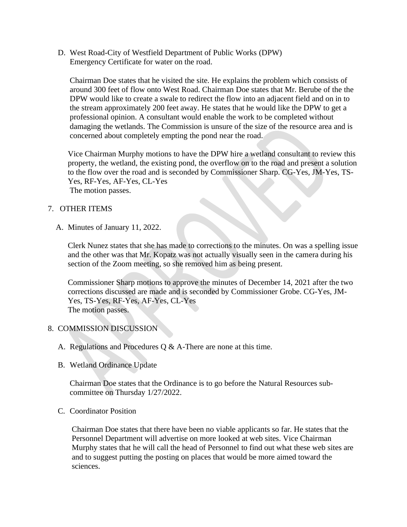D. West Road-City of Westfield Department of Public Works (DPW) Emergency Certificate for water on the road.

Chairman Doe states that he visited the site. He explains the problem which consists of around 300 feet of flow onto West Road. Chairman Doe states that Mr. Berube of the the DPW would like to create a swale to redirect the flow into an adjacent field and on in to the stream approximately 200 feet away. He states that he would like the DPW to get a professional opinion. A consultant would enable the work to be completed without damaging the wetlands. The Commission is unsure of the size of the resource area and is concerned about completely empting the pond near the road.

Vice Chairman Murphy motions to have the DPW hire a wetland consultant to review this property, the wetland, the existing pond, the overflow on to the road and present a solution to the flow over the road and is seconded by Commissioner Sharp. CG-Yes, JM-Yes, TS-Yes, RF-Yes, AF-Yes, CL-Yes The motion passes.

### 7. OTHER ITEMS

A. Minutes of January 11, 2022.

Clerk Nunez states that she has made to corrections to the minutes. On was a spelling issue and the other was that Mr. Kopatz was not actually visually seen in the camera during his section of the Zoom meeting, so she removed him as being present.

Commissioner Sharp motions to approve the minutes of December 14, 2021 after the two corrections discussed are made and is seconded by Commissioner Grobe. CG-Yes, JM-Yes, TS-Yes, RF-Yes, AF-Yes, CL-Yes The motion passes.

#### 8. COMMISSION DISCUSSION

- A. Regulations and Procedures Q & A-There are none at this time.
- B. Wetland Ordinance Update

Chairman Doe states that the Ordinance is to go before the Natural Resources subcommittee on Thursday 1/27/2022.

C. Coordinator Position

Chairman Doe states that there have been no viable applicants so far. He states that the Personnel Department will advertise on more looked at web sites. Vice Chairman Murphy states that he will call the head of Personnel to find out what these web sites are and to suggest putting the posting on places that would be more aimed toward the sciences.